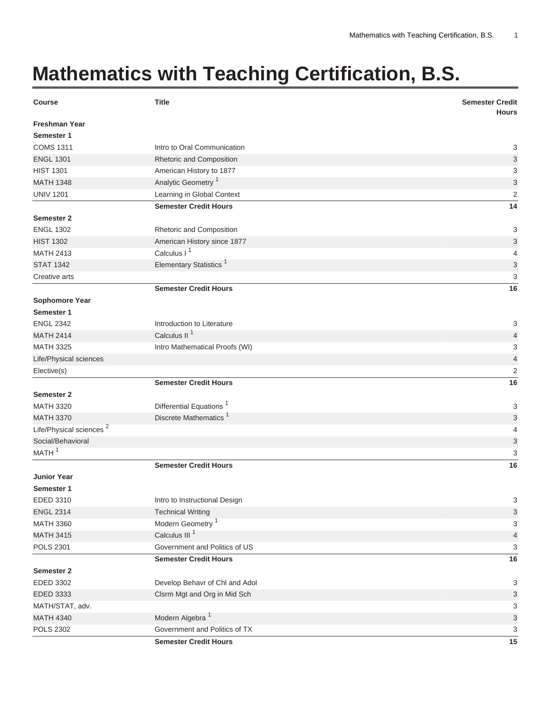## **Mathematics with Teaching Certification, B.S.**

| <b>Course</b>                       | <b>Title</b>                        | <b>Semester Credit</b><br><b>Hours</b> |
|-------------------------------------|-------------------------------------|----------------------------------------|
| <b>Freshman Year</b>                |                                     |                                        |
| Semester 1                          |                                     |                                        |
| <b>COMS 1311</b>                    | Intro to Oral Communication         | 3                                      |
| <b>ENGL 1301</b>                    | Rhetoric and Composition            | 3                                      |
| <b>HIST 1301</b>                    | American History to 1877            | 3                                      |
| <b>MATH 1348</b>                    | Analytic Geometry <sup>1</sup>      | $\ensuremath{\mathsf{3}}$              |
| <b>UNIV 1201</b>                    | Learning in Global Context          | $\overline{2}$                         |
|                                     | <b>Semester Credit Hours</b>        | 14                                     |
| Semester 2                          |                                     |                                        |
| <b>ENGL 1302</b>                    | Rhetoric and Composition            | 3                                      |
| <b>HIST 1302</b>                    | American History since 1877         | $\ensuremath{\mathsf{3}}$              |
| <b>MATH 2413</b>                    | Calculus I <sup>1</sup>             | $\overline{4}$                         |
| <b>STAT 1342</b>                    | Elementary Statistics <sup>1</sup>  | $\ensuremath{\mathsf{3}}$              |
| Creative arts                       |                                     | 3                                      |
|                                     | <b>Semester Credit Hours</b>        | 16                                     |
| Sophomore Year                      |                                     |                                        |
| Semester 1                          |                                     |                                        |
| <b>ENGL 2342</b>                    | Introduction to Literature          | 3                                      |
| <b>MATH 2414</b>                    | Calculus II <sup>1</sup>            | $\overline{4}$                         |
| <b>MATH 3325</b>                    | Intro Mathematical Proofs (WI)      | 3                                      |
| Life/Physical sciences              |                                     | $\overline{4}$                         |
| Elective(s)                         |                                     | $\overline{2}$                         |
|                                     | <b>Semester Credit Hours</b>        | 16                                     |
| <b>Semester 2</b>                   |                                     |                                        |
| <b>MATH 3320</b>                    | Differential Equations <sup>1</sup> | 3                                      |
| <b>MATH 3370</b>                    | Discrete Mathematics <sup>1</sup>   | 3                                      |
| Life/Physical sciences <sup>2</sup> |                                     | $\overline{4}$                         |
| Social/Behavioral                   |                                     | $\ensuremath{\mathsf{3}}$              |
| MATH <sup>1</sup>                   |                                     | 3                                      |
|                                     | <b>Semester Credit Hours</b>        | 16                                     |
| <b>Junior Year</b>                  |                                     |                                        |
| Semester 1                          |                                     |                                        |
| EDED 3310                           | Intro to Instructional Design       | 3                                      |
| <b>ENGL 2314</b>                    | <b>Technical Writing</b>            | 3                                      |
| <b>MATH 3360</b>                    | Modern Geometry <sup>1</sup>        | 3                                      |
| <b>MATH 3415</b>                    | Calculus III <sup>1</sup>           | 4                                      |
| <b>POLS 2301</b>                    | Government and Politics of US       | 3                                      |
|                                     | <b>Semester Credit Hours</b>        | 16                                     |
| Semester 2                          |                                     |                                        |
| EDED 3302                           | Develop Behavr of Chl and Adol      | 3                                      |
| EDED 3333                           | Clsrm Mgt and Org in Mid Sch        | $\sqrt{3}$                             |
| MATH/STAT, adv.                     |                                     | $\sqrt{3}$                             |
| <b>MATH 4340</b>                    | Modern Algebra <sup>1</sup>         | $\sqrt{3}$                             |
| <b>POLS 2302</b>                    | Government and Politics of TX       | 3                                      |
|                                     | <b>Semester Credit Hours</b>        | 15                                     |